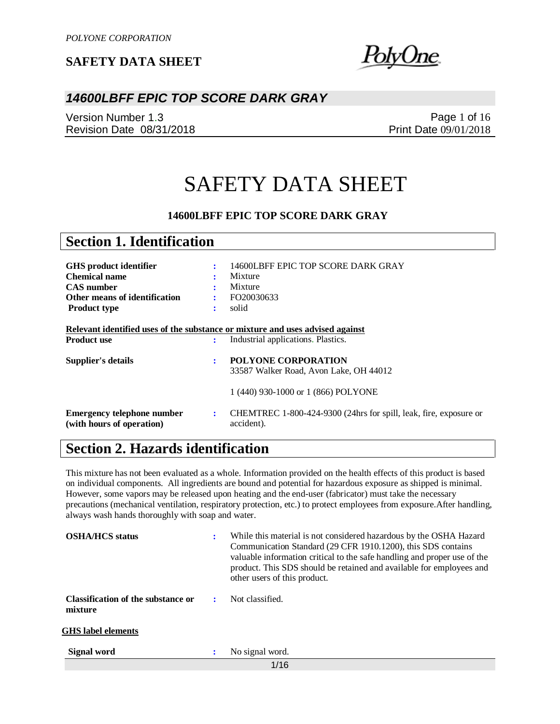<u>blyUne</u>

### *14600LBFF EPIC TOP SCORE DARK GRAY*

Version Number 1.3 Revision Date 08/31/2018

Page 1 of 16 Print Date 09/01/2018

# SAFETY DATA SHEET

### **14600LBFF EPIC TOP SCORE DARK GRAY**

| <b>Section 1. Identification</b> |                                                                               |  |
|----------------------------------|-------------------------------------------------------------------------------|--|
|                                  |                                                                               |  |
| ÷                                | 14600LBFF EPIC TOP SCORE DARK GRAY                                            |  |
|                                  | Mixture                                                                       |  |
|                                  | Mixture                                                                       |  |
|                                  | FO20030633                                                                    |  |
| ٠                                | solid                                                                         |  |
|                                  |                                                                               |  |
|                                  | Relevant identified uses of the substance or mixture and uses advised against |  |
| ÷                                | Industrial applications. Plastics.                                            |  |
|                                  |                                                                               |  |
| ÷                                | <b>POLYONE CORPORATION</b>                                                    |  |
|                                  | 33587 Walker Road, Avon Lake, OH 44012                                        |  |
|                                  | 1 (440) 930-1000 or 1 (866) POLYONE                                           |  |
|                                  |                                                                               |  |
|                                  |                                                                               |  |
| ÷                                | CHEMTREC 1-800-424-9300 (24hrs for spill, leak, fire, exposure or             |  |
|                                  |                                                                               |  |

## **Section 2. Hazards identification**

This mixture has not been evaluated as a whole. Information provided on the health effects of this product is based on individual components. All ingredients are bound and potential for hazardous exposure as shipped is minimal. However, some vapors may be released upon heating and the end-user (fabricator) must take the necessary precautions (mechanical ventilation, respiratory protection, etc.) to protect employees from exposure.After handling, always wash hands thoroughly with soap and water.

| <b>OSHA/HCS</b> status                        | ÷ | While this material is not considered hazardous by the OSHA Hazard<br>Communication Standard (29 CFR 1910.1200), this SDS contains<br>valuable information critical to the safe handling and proper use of the<br>product. This SDS should be retained and available for employees and<br>other users of this product. |
|-----------------------------------------------|---|------------------------------------------------------------------------------------------------------------------------------------------------------------------------------------------------------------------------------------------------------------------------------------------------------------------------|
| Classification of the substance or<br>mixture | ÷ | Not classified.                                                                                                                                                                                                                                                                                                        |
| <b>GHS</b> label elements                     |   |                                                                                                                                                                                                                                                                                                                        |
| Signal word                                   | : | No signal word.                                                                                                                                                                                                                                                                                                        |
|                                               |   | 1/16                                                                                                                                                                                                                                                                                                                   |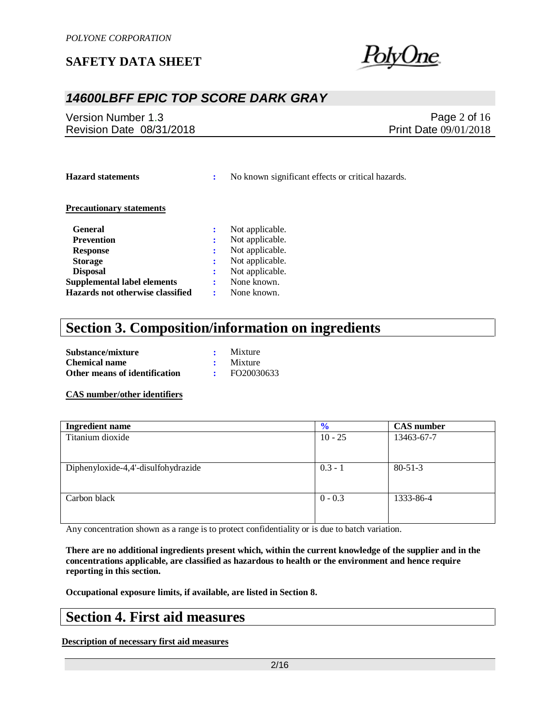

## *14600LBFF EPIC TOP SCORE DARK GRAY*

Version Number 1.3 Revision Date 08/31/2018

Page 2 of 16 Print Date 09/01/2018

**Hazard statements :** No known significant effects or critical hazards.

#### **Precautionary statements**

| <b>General</b>                     |   | Not applicable. |
|------------------------------------|---|-----------------|
| <b>Prevention</b>                  |   | Not applicable. |
| <b>Response</b>                    | ÷ | Not applicable. |
| <b>Storage</b>                     |   | Not applicable. |
| <b>Disposal</b>                    |   | Not applicable. |
| <b>Supplemental label elements</b> |   | None known.     |
| Hazards not otherwise classified   |   | None known.     |

## **Section 3. Composition/information on ingredients**

| Substance/mixture             | $\cdot$ Mixture |
|-------------------------------|-----------------|
| <b>Chemical name</b>          | $\cdot$ Mixture |
| Other means of identification | FO20030633      |

#### **CAS number/other identifiers**

| <b>Ingredient name</b>              | $\frac{1}{2}$ | <b>CAS</b> number |
|-------------------------------------|---------------|-------------------|
| Titanium dioxide                    | $10 - 25$     | 13463-67-7        |
|                                     |               |                   |
|                                     |               |                   |
| Diphenyloxide-4,4'-disulfohydrazide | $0.3 - 1$     | $80 - 51 - 3$     |
|                                     |               |                   |
|                                     |               |                   |
| Carbon black                        | $0 - 0.3$     | 1333-86-4         |
|                                     |               |                   |
|                                     |               |                   |

Any concentration shown as a range is to protect confidentiality or is due to batch variation.

**There are no additional ingredients present which, within the current knowledge of the supplier and in the concentrations applicable, are classified as hazardous to health or the environment and hence require reporting in this section.**

**Occupational exposure limits, if available, are listed in Section 8.**

## **Section 4. First aid measures**

**Description of necessary first aid measures**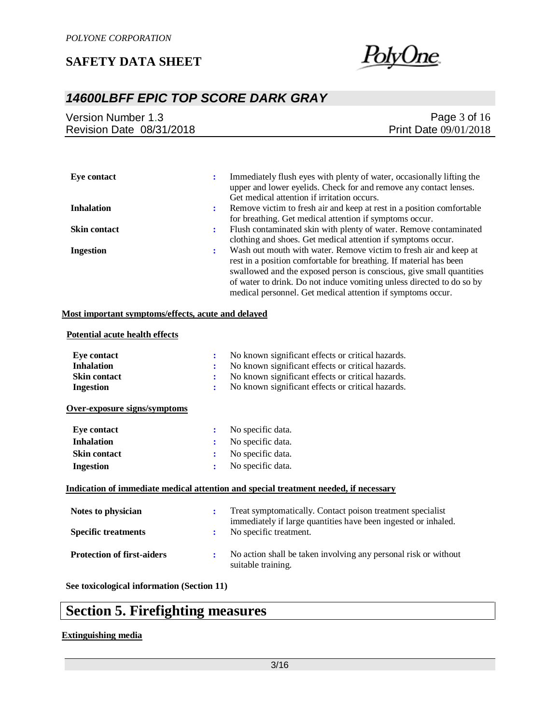

## *14600LBFF EPIC TOP SCORE DARK GRAY*

| Version Number 1.3       | Page $3$ of $16$             |
|--------------------------|------------------------------|
| Revision Date 08/31/2018 | <b>Print Date 09/01/2018</b> |
|                          |                              |

| Eve contact         |   | Immediately flush eyes with plenty of water, occasionally lifting the |
|---------------------|---|-----------------------------------------------------------------------|
|                     |   | upper and lower eyelids. Check for and remove any contact lenses.     |
|                     |   | Get medical attention if irritation occurs.                           |
| <b>Inhalation</b>   | ÷ | Remove victim to fresh air and keep at rest in a position comfortable |
|                     |   | for breathing. Get medical attention if symptoms occur.               |
| <b>Skin contact</b> | ÷ | Flush contaminated skin with plenty of water. Remove contaminated     |
|                     |   | clothing and shoes. Get medical attention if symptoms occur.          |
| <b>Ingestion</b>    | ٠ | Wash out mouth with water. Remove victim to fresh air and keep at     |
|                     |   | rest in a position comfortable for breathing. If material has been    |
|                     |   | swallowed and the exposed person is conscious, give small quantities  |
|                     |   | of water to drink. Do not induce vomiting unless directed to do so by |
|                     |   | medical personnel. Get medical attention if symptoms occur.           |

#### **Most important symptoms/effects, acute and delayed**

#### **Potential acute health effects**

| <b>Eye contact</b><br><b>Inhalation</b><br><b>Skin contact</b><br><b>Ingestion</b><br>Over-exposure signs/symptoms | ÷<br>÷<br>÷<br>÷ | No known significant effects or critical hazards.<br>No known significant effects or critical hazards.<br>No known significant effects or critical hazards.<br>No known significant effects or critical hazards. |
|--------------------------------------------------------------------------------------------------------------------|------------------|------------------------------------------------------------------------------------------------------------------------------------------------------------------------------------------------------------------|
| <b>Eye contact</b>                                                                                                 | $\ddot{\cdot}$   | No specific data.                                                                                                                                                                                                |
| <b>Inhalation</b>                                                                                                  | ÷                | No specific data.                                                                                                                                                                                                |
| <b>Skin contact</b>                                                                                                | ÷                | No specific data.                                                                                                                                                                                                |
| <b>Ingestion</b>                                                                                                   | ÷                | No specific data.                                                                                                                                                                                                |
|                                                                                                                    |                  | Indication of immediate medical attention and special treatment needed, if necessary                                                                                                                             |
| Notes to physician                                                                                                 | ÷                | Treat symptomatically. Contact poison treatment specialist<br>immediately if large quantities have been ingested or inhaled.                                                                                     |
| <b>Specific treatments</b>                                                                                         | ÷                | No specific treatment.                                                                                                                                                                                           |
| <b>Protection of first-aiders</b>                                                                                  | ÷                | No action shall be taken involving any personal risk or without<br>suitable training.                                                                                                                            |

**See toxicological information (Section 11)**

## **Section 5. Firefighting measures**

#### **Extinguishing media**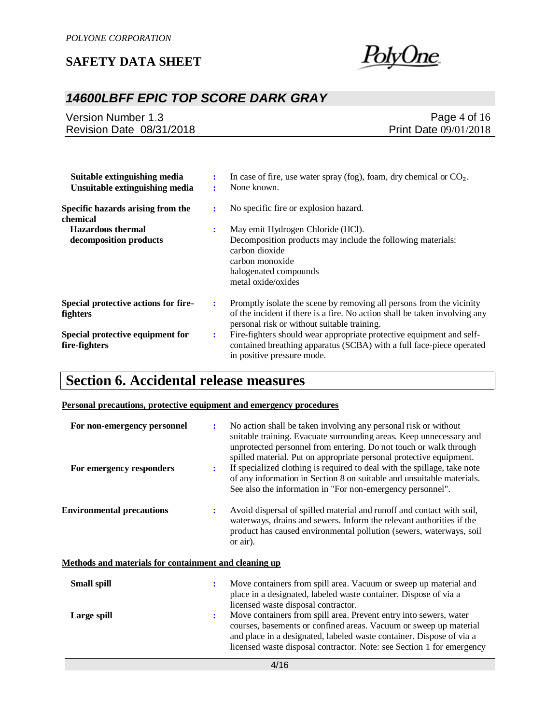

## *14600LBFF EPIC TOP SCORE DARK GRAY*

| Version Number 1.3       | Page $4$ of $16$             |
|--------------------------|------------------------------|
| Revision Date 08/31/2018 | <b>Print Date 09/01/2018</b> |

| Suitable extinguishing media<br>Unsuitable extinguishing media | ÷ | In case of fire, use water spray (fog), foam, dry chemical or $CO2$ .<br>None known.                                                                                                              |
|----------------------------------------------------------------|---|---------------------------------------------------------------------------------------------------------------------------------------------------------------------------------------------------|
| Specific hazards arising from the<br>chemical                  | ÷ | No specific fire or explosion hazard.                                                                                                                                                             |
| <b>Hazardous thermal</b>                                       | ÷ | May emit Hydrogen Chloride (HCl).                                                                                                                                                                 |
| decomposition products                                         |   | Decomposition products may include the following materials:<br>carbon dioxide<br>carbon monoxide<br>halogenated compounds<br>metal oxide/oxides                                                   |
| Special protective actions for fire-<br>fighters               | ÷ | Promptly isolate the scene by removing all persons from the vicinity<br>of the incident if there is a fire. No action shall be taken involving any<br>personal risk or without suitable training. |
| Special protective equipment for<br>fire-fighters              | ÷ | Fire-fighters should wear appropriate protective equipment and self-<br>contained breathing apparatus (SCBA) with a full face-piece operated<br>in positive pressure mode.                        |

## **Section 6. Accidental release measures**

### **Personal precautions, protective equipment and emergency procedures**

| For non-emergency personnel<br>For emergency responders | ÷<br>÷                                                       | No action shall be taken involving any personal risk or without<br>suitable training. Evacuate surrounding areas. Keep unnecessary and<br>unprotected personnel from entering. Do not touch or walk through<br>spilled material. Put on appropriate personal protective equipment.<br>If specialized clothing is required to deal with the spillage, take note<br>of any information in Section 8 on suitable and unsuitable materials.<br>See also the information in "For non-emergency personnel". |  |
|---------------------------------------------------------|--------------------------------------------------------------|-------------------------------------------------------------------------------------------------------------------------------------------------------------------------------------------------------------------------------------------------------------------------------------------------------------------------------------------------------------------------------------------------------------------------------------------------------------------------------------------------------|--|
| <b>Environmental precautions</b>                        | ÷                                                            | Avoid dispersal of spilled material and runoff and contact with soil,<br>waterways, drains and sewers. Inform the relevant authorities if the<br>product has caused environmental pollution (sewers, waterways, soil<br>or air).                                                                                                                                                                                                                                                                      |  |
|                                                         | <b>Methods and materials for containment and cleaning up</b> |                                                                                                                                                                                                                                                                                                                                                                                                                                                                                                       |  |
| <b>Small spill</b>                                      | ÷                                                            | Move containers from spill area. Vacuum or sweep up material and<br>place in a designated, labeled waste container. Dispose of via a<br>licensed waste disposal contractor.                                                                                                                                                                                                                                                                                                                           |  |
| Large spill                                             | ÷                                                            | Move containers from spill area. Prevent entry into sewers, water<br>courses, basements or confined areas. Vacuum or sweep up material<br>and place in a designated, labeled waste container. Dispose of via a<br>licensed waste disposal contractor. Note: see Section 1 for emergency                                                                                                                                                                                                               |  |
| 4/16                                                    |                                                              |                                                                                                                                                                                                                                                                                                                                                                                                                                                                                                       |  |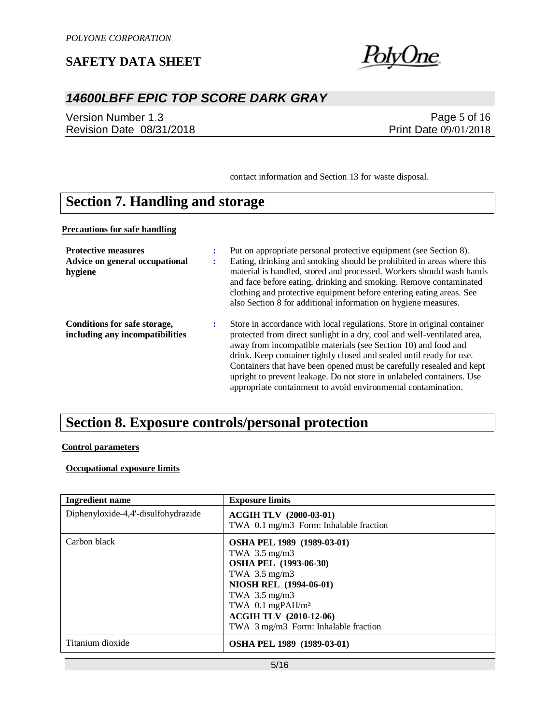

## *14600LBFF EPIC TOP SCORE DARK GRAY*

Version Number 1.3 Revision Date 08/31/2018

Page 5 of 16 Print Date 09/01/2018

contact information and Section 13 for waste disposal.

## **Section 7. Handling and storage**

**Precautions for safe handling**

| <b>Protective measures</b><br>Advice on general occupational<br>hygiene | ÷<br>÷ | Put on appropriate personal protective equipment (see Section 8).<br>Eating, drinking and smoking should be prohibited in areas where this<br>material is handled, stored and processed. Workers should wash hands<br>and face before eating, drinking and smoking. Remove contaminated<br>clothing and protective equipment before entering eating areas. See<br>also Section 8 for additional information on hygiene measures.                                                                               |
|-------------------------------------------------------------------------|--------|----------------------------------------------------------------------------------------------------------------------------------------------------------------------------------------------------------------------------------------------------------------------------------------------------------------------------------------------------------------------------------------------------------------------------------------------------------------------------------------------------------------|
| Conditions for safe storage,<br>including any incompatibilities         | ÷      | Store in accordance with local regulations. Store in original container<br>protected from direct sunlight in a dry, cool and well-ventilated area,<br>away from incompatible materials (see Section 10) and food and<br>drink. Keep container tightly closed and sealed until ready for use.<br>Containers that have been opened must be carefully resealed and kept<br>upright to prevent leakage. Do not store in unlabeled containers. Use<br>appropriate containment to avoid environmental contamination. |

## **Section 8. Exposure controls/personal protection**

### **Control parameters**

### **Occupational exposure limits**

| <b>Ingredient name</b>              | <b>Exposure limits</b>                                                                                                                                                                                                                                                                     |
|-------------------------------------|--------------------------------------------------------------------------------------------------------------------------------------------------------------------------------------------------------------------------------------------------------------------------------------------|
| Diphenyloxide-4,4'-disulfohydrazide | <b>ACGIH TLV (2000-03-01)</b><br>TWA 0.1 mg/m3 Form: Inhalable fraction                                                                                                                                                                                                                    |
| Carbon black                        | OSHA PEL 1989 (1989-03-01)<br>TWA $3.5 \text{ mg/m}$ 3<br><b>OSHA PEL (1993-06-30)</b><br>TWA $3.5 \text{ mg/m}$ 3<br><b>NIOSH REL (1994-06-01)</b><br>TWA $3.5 \text{ mg/m}$ 3<br>TWA $0.1$ mgPAH/m <sup>3</sup><br><b>ACGIH TLV (2010-12-06)</b><br>TWA 3 mg/m3 Form: Inhalable fraction |
| Titanium dioxide                    | <b>OSHA PEL 1989 (1989-03-01)</b>                                                                                                                                                                                                                                                          |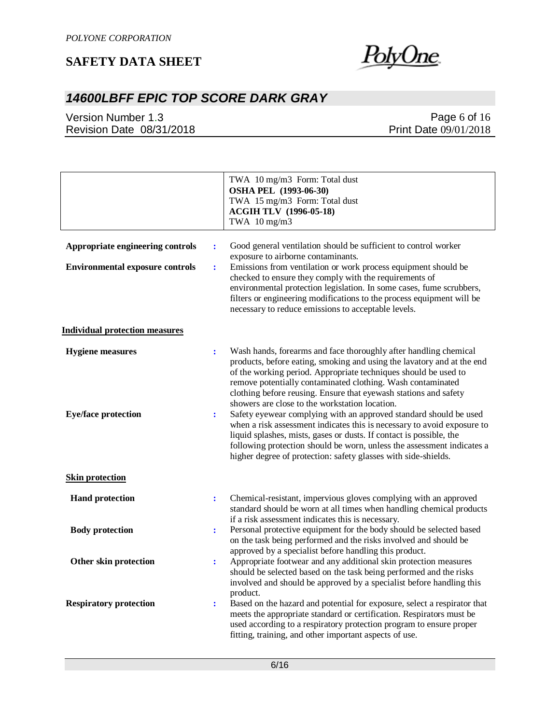

## *14600LBFF EPIC TOP SCORE DARK GRAY*

Version Number 1.3 Revision Date 08/31/2018

|                                                                            |                                  | TWA 10 mg/m3 Form: Total dust<br><b>OSHA PEL</b> (1993-06-30)<br>TWA 15 mg/m3 Form: Total dust<br><b>ACGIH TLV (1996-05-18)</b><br>TWA 10 mg/m3                                                                                                                                                                                                                                                                                                                         |
|----------------------------------------------------------------------------|----------------------------------|-------------------------------------------------------------------------------------------------------------------------------------------------------------------------------------------------------------------------------------------------------------------------------------------------------------------------------------------------------------------------------------------------------------------------------------------------------------------------|
| Appropriate engineering controls<br><b>Environmental exposure controls</b> | $\ddot{\cdot}$<br>$\ddot{\cdot}$ | Good general ventilation should be sufficient to control worker<br>exposure to airborne contaminants.<br>Emissions from ventilation or work process equipment should be<br>checked to ensure they comply with the requirements of<br>environmental protection legislation. In some cases, fume scrubbers,<br>filters or engineering modifications to the process equipment will be                                                                                      |
|                                                                            |                                  | necessary to reduce emissions to acceptable levels.                                                                                                                                                                                                                                                                                                                                                                                                                     |
| <b>Individual protection measures</b>                                      |                                  |                                                                                                                                                                                                                                                                                                                                                                                                                                                                         |
| <b>Hygiene</b> measures<br><b>Eye/face protection</b>                      | $\ddot{\cdot}$<br>$\ddot{\cdot}$ | Wash hands, forearms and face thoroughly after handling chemical<br>products, before eating, smoking and using the lavatory and at the end<br>of the working period. Appropriate techniques should be used to<br>remove potentially contaminated clothing. Wash contaminated<br>clothing before reusing. Ensure that eyewash stations and safety<br>showers are close to the workstation location.<br>Safety eyewear complying with an approved standard should be used |
|                                                                            |                                  | when a risk assessment indicates this is necessary to avoid exposure to<br>liquid splashes, mists, gases or dusts. If contact is possible, the<br>following protection should be worn, unless the assessment indicates a<br>higher degree of protection: safety glasses with side-shields.                                                                                                                                                                              |
| <b>Skin protection</b>                                                     |                                  |                                                                                                                                                                                                                                                                                                                                                                                                                                                                         |
| <b>Hand protection</b>                                                     | $\ddot{\cdot}$                   | Chemical-resistant, impervious gloves complying with an approved<br>standard should be worn at all times when handling chemical products<br>if a risk assessment indicates this is necessary.                                                                                                                                                                                                                                                                           |
| <b>Body protection</b>                                                     | $\ddot{\cdot}$                   | Personal protective equipment for the body should be selected based<br>on the task being performed and the risks involved and should be<br>approved by a specialist before handling this product.                                                                                                                                                                                                                                                                       |
| Other skin protection                                                      | $\ddot{\cdot}$                   | Appropriate footwear and any additional skin protection measures<br>should be selected based on the task being performed and the risks<br>involved and should be approved by a specialist before handling this<br>product.                                                                                                                                                                                                                                              |
| <b>Respiratory protection</b>                                              | ÷                                | Based on the hazard and potential for exposure, select a respirator that<br>meets the appropriate standard or certification. Respirators must be<br>used according to a respiratory protection program to ensure proper<br>fitting, training, and other important aspects of use.                                                                                                                                                                                       |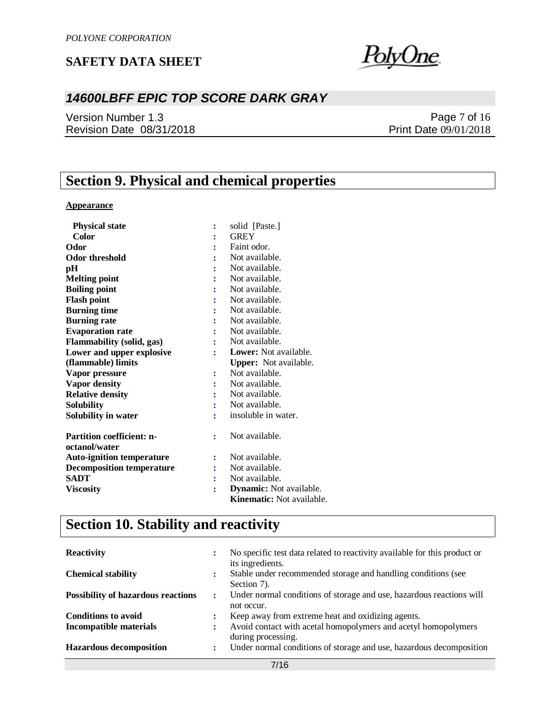

## *14600LBFF EPIC TOP SCORE DARK GRAY*

Version Number 1.3 Revision Date 08/31/2018

Page 7 of 16 Print Date 09/01/2018

## **Section 9. Physical and chemical properties**

### **Appearance**

| <b>Physical state</b>                             | ÷ | solid [Paste.]                   |
|---------------------------------------------------|---|----------------------------------|
| Color                                             |   | <b>GREY</b>                      |
| Odor                                              |   | Faint odor.                      |
| <b>Odor threshold</b>                             |   | Not available.                   |
| pН                                                |   | Not available.                   |
| <b>Melting point</b>                              |   | Not available.                   |
| <b>Boiling point</b>                              |   | Not available.                   |
| <b>Flash point</b>                                |   | Not available.                   |
| <b>Burning time</b>                               |   | Not available.                   |
| <b>Burning rate</b>                               |   | Not available.                   |
| <b>Evaporation rate</b>                           |   | Not available.                   |
| Flammability (solid, gas)                         |   | Not available.                   |
| Lower and upper explosive                         |   | <b>Lower:</b> Not available.     |
| (flammable) limits                                |   | Upper: Not available.            |
| Vapor pressure                                    |   | Not available.                   |
| <b>Vapor density</b>                              |   | Not available.                   |
| <b>Relative density</b>                           |   | Not available.                   |
| Solubility                                        |   | Not available.                   |
| <b>Solubility in water</b>                        |   | insoluble in water.              |
| <b>Partition coefficient: n-</b><br>octanol/water |   | Not available.                   |
| <b>Auto-ignition temperature</b>                  | ÷ | Not available.                   |
| <b>Decomposition temperature</b>                  |   | Not available.                   |
| SADT                                              |   | Not available.                   |
| Viscosity                                         |   | <b>Dynamic:</b> Not available.   |
|                                                   |   | <b>Kinematic:</b> Not available. |

## **Section 10. Stability and reactivity**

| <b>Reactivity</b>                         | No specific test data related to reactivity available for this product or<br>its ingredients. |
|-------------------------------------------|-----------------------------------------------------------------------------------------------|
| <b>Chemical stability</b>                 | Stable under recommended storage and handling conditions (see<br>Section 7).                  |
| <b>Possibility of hazardous reactions</b> | Under normal conditions of storage and use, hazardous reactions will<br>not occur.            |
| <b>Conditions to avoid</b>                | Keep away from extreme heat and oxidizing agents.                                             |
| <b>Incompatible materials</b>             | Avoid contact with acetal homopolymers and acetyl homopolymers<br>during processing.          |
| <b>Hazardous decomposition</b>            | Under normal conditions of storage and use, hazardous decomposition                           |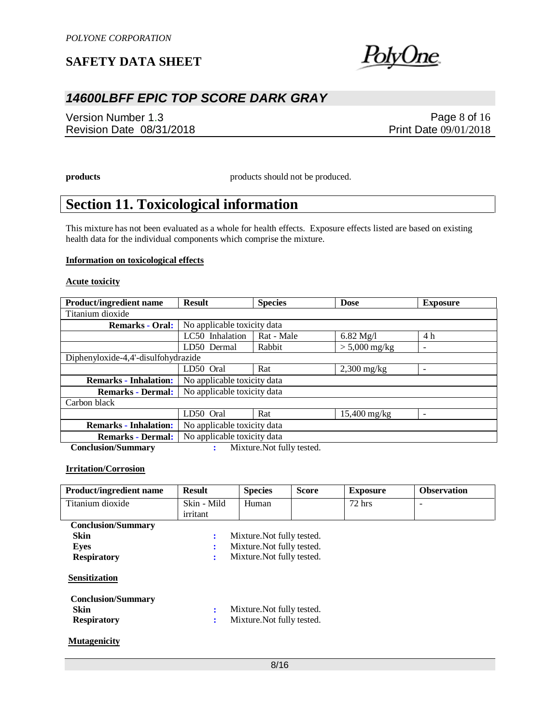

## *14600LBFF EPIC TOP SCORE DARK GRAY*

Version Number 1.3 Revision Date 08/31/2018

Page 8 of 16 Print Date 09/01/2018

**products** products should not be produced.

## **Section 11. Toxicological information**

This mixture has not been evaluated as a whole for health effects. Exposure effects listed are based on existing health data for the individual components which comprise the mixture.

#### **Information on toxicological effects**

#### **Acute toxicity**

| <b>Product/ingredient name</b>      | <b>Result</b>               | <b>Species</b>              | <b>Dose</b>         | <b>Exposure</b>          |  |
|-------------------------------------|-----------------------------|-----------------------------|---------------------|--------------------------|--|
| Titanium dioxide                    |                             |                             |                     |                          |  |
| <b>Remarks - Oral:</b>              |                             | No applicable toxicity data |                     |                          |  |
|                                     | LC50 Inhalation             | Rat - Male                  | $6.82 \text{ Mg}/l$ | 4 h                      |  |
|                                     | LD50 Dermal                 | Rabbit                      | $> 5,000$ mg/kg     | $\overline{\phantom{a}}$ |  |
| Diphenyloxide-4,4'-disulfohydrazide |                             |                             |                     |                          |  |
|                                     | LD50 Oral                   | Rat                         | $2,300$ mg/kg       |                          |  |
| <b>Remarks - Inhalation:</b>        | No applicable toxicity data |                             |                     |                          |  |
| <b>Remarks - Dermal:</b>            |                             | No applicable toxicity data |                     |                          |  |
| Carbon black                        |                             |                             |                     |                          |  |
|                                     | LD50 Oral                   | Rat                         | $15,400$ mg/kg      | $\overline{\phantom{0}}$ |  |
| <b>Remarks - Inhalation:</b>        | No applicable toxicity data |                             |                     |                          |  |
| <b>Remarks - Dermal:</b>            | No applicable toxicity data |                             |                     |                          |  |
| <b>Conclusion/Summary</b>           |                             | Mixture. Not fully tested.  |                     |                          |  |

#### **Irritation/Corrosion**

| <b>Product/ingredient name</b> | <b>Result</b>                   | <b>Species</b>             | <b>Score</b> | <b>Exposure</b> | <b>Observation</b>       |
|--------------------------------|---------------------------------|----------------------------|--------------|-----------------|--------------------------|
| Titanium dioxide               | Skin - Mild                     | Human                      |              | $72$ hrs        | $\overline{\phantom{0}}$ |
|                                | irritant                        |                            |              |                 |                          |
| <b>Conclusion/Summary</b>      |                                 |                            |              |                 |                          |
| <b>Skin</b>                    | ÷                               | Mixture. Not fully tested. |              |                 |                          |
| <b>Eyes</b>                    | ÷                               | Mixture. Not fully tested. |              |                 |                          |
| <b>Respiratory</b>             | Mixture. Not fully tested.<br>÷ |                            |              |                 |                          |
| Sensitization                  |                                 |                            |              |                 |                          |
| <b>Conclusion/Summary</b>      |                                 |                            |              |                 |                          |
| <b>Skin</b>                    | ÷                               | Mixture. Not fully tested. |              |                 |                          |
| <b>Respiratory</b>             | ÷                               | Mixture. Not fully tested. |              |                 |                          |
| <b>Mutagenicity</b>            |                                 |                            |              |                 |                          |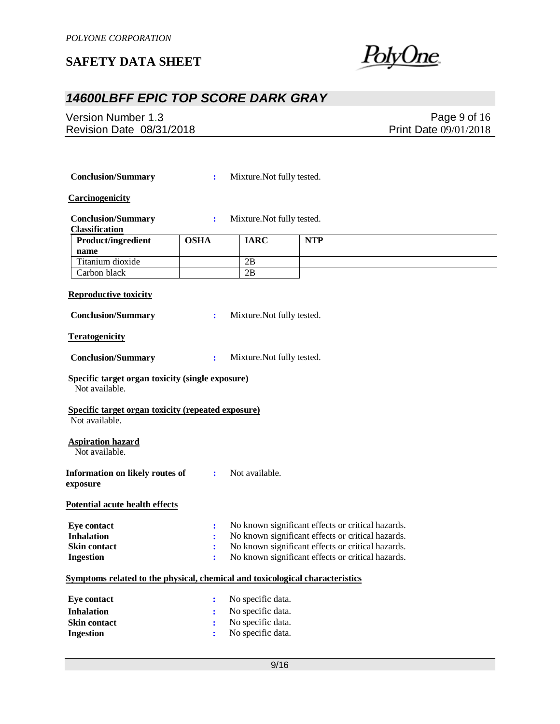

## *14600LBFF EPIC TOP SCORE DARK GRAY*

Version Number 1.3 Revision Date 08/31/2018

Page 9 of 16 Print Date 09/01/2018

| <b>Conclusion/Summary</b>                                                    | ÷           | Mixture. Not fully tested. |                                                   |  |
|------------------------------------------------------------------------------|-------------|----------------------------|---------------------------------------------------|--|
| <b>Carcinogenicity</b>                                                       |             |                            |                                                   |  |
| <b>Conclusion/Summary</b><br><b>Classification</b>                           | ÷           | Mixture. Not fully tested. |                                                   |  |
| Product/ingredient                                                           | <b>OSHA</b> | <b>IARC</b>                | <b>NTP</b>                                        |  |
| name                                                                         |             |                            |                                                   |  |
| Titanium dioxide                                                             |             | 2B                         |                                                   |  |
| Carbon black                                                                 |             | $\overline{2B}$            |                                                   |  |
|                                                                              |             |                            |                                                   |  |
| <b>Reproductive toxicity</b>                                                 |             |                            |                                                   |  |
| <b>Conclusion/Summary</b>                                                    | ÷           | Mixture. Not fully tested. |                                                   |  |
| <b>Teratogenicity</b>                                                        |             |                            |                                                   |  |
| <b>Conclusion/Summary</b>                                                    | ÷           | Mixture. Not fully tested. |                                                   |  |
| <b>Specific target organ toxicity (single exposure)</b><br>Not available.    |             |                            |                                                   |  |
| Specific target organ toxicity (repeated exposure)<br>Not available.         |             |                            |                                                   |  |
| <b>Aspiration hazard</b><br>Not available.                                   |             |                            |                                                   |  |
| <b>Information on likely routes of</b><br>exposure                           | ÷           | Not available.             |                                                   |  |
| <b>Potential acute health effects</b>                                        |             |                            |                                                   |  |
| <b>Eye contact</b>                                                           | ÷           |                            | No known significant effects or critical hazards. |  |
| <b>Inhalation</b>                                                            | ÷           |                            | No known significant effects or critical hazards. |  |
| <b>Skin contact</b>                                                          |             |                            | No known significant effects or critical hazards. |  |
| <b>Ingestion</b>                                                             | ÷           |                            | No known significant effects or critical hazards. |  |
|                                                                              |             |                            |                                                   |  |
| Symptoms related to the physical, chemical and toxicological characteristics |             |                            |                                                   |  |
| <b>Eye contact</b>                                                           | ÷           | No specific data.          |                                                   |  |
| <b>Inhalation</b>                                                            | ÷           | No specific data.          |                                                   |  |
| <b>Skin contact</b>                                                          |             | No specific data.          |                                                   |  |
| <b>Ingestion</b>                                                             |             | No specific data.          |                                                   |  |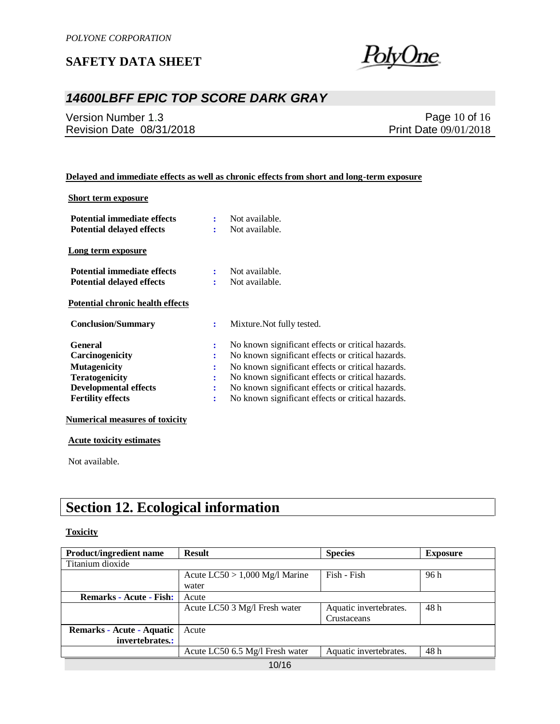

## *14600LBFF EPIC TOP SCORE DARK GRAY*

Version Number 1.3 Revision Date 08/31/2018

Page 10 of 16 Print Date 09/01/2018

### **Delayed and immediate effects as well as chronic effects from short and long-term exposure**

### **Short term exposure**

| Potential immediate effects             |                      | Not available.                                    |
|-----------------------------------------|----------------------|---------------------------------------------------|
| <b>Potential delayed effects</b>        | ÷                    | Not available.                                    |
| Long term exposure                      |                      |                                                   |
| Potential immediate effects             | ÷                    | Not available.                                    |
| <b>Potential delayed effects</b>        | ٠                    | Not available.                                    |
| <b>Potential chronic health effects</b> |                      |                                                   |
| <b>Conclusion/Summary</b>               | ÷                    | Mixture. Not fully tested.                        |
| <b>General</b>                          | $\ddot{\cdot}$       | No known significant effects or critical hazards. |
| <b>Carcinogenicity</b>                  | ፡                    | No known significant effects or critical hazards. |
| <b>Mutagenicity</b>                     | :                    | No known significant effects or critical hazards. |
| <b>Teratogenicity</b>                   | $\ddot{\phantom{a}}$ | No known significant effects or critical hazards. |
| <b>Developmental effects</b>            | ፡                    | No known significant effects or critical hazards. |
| <b>Fertility effects</b>                | $\ddot{\cdot}$       | No known significant effects or critical hazards. |

#### **Numerical measures of toxicity**

**Acute toxicity estimates**

Not available.

## **Section 12. Ecological information**

#### **Toxicity**

| <b>Product/ingredient name</b> | <b>Result</b>                    | <b>Species</b>         | <b>Exposure</b> |
|--------------------------------|----------------------------------|------------------------|-----------------|
| Titanium dioxide               |                                  |                        |                 |
|                                | Acute $LC50 > 1,000$ Mg/l Marine | Fish - Fish            | 96h             |
|                                | water                            |                        |                 |
| <b>Remarks - Acute - Fish:</b> | Acute                            |                        |                 |
|                                | Acute LC50 3 Mg/l Fresh water    | Aquatic invertebrates. | 48 h            |
|                                |                                  | Crustaceans            |                 |
| Remarks - Acute - Aquatic      | Acute                            |                        |                 |
| invertebrates.:                |                                  |                        |                 |
|                                | Acute LC50 6.5 Mg/l Fresh water  | Aquatic invertebrates. | 48 h            |
|                                | 10/16                            |                        |                 |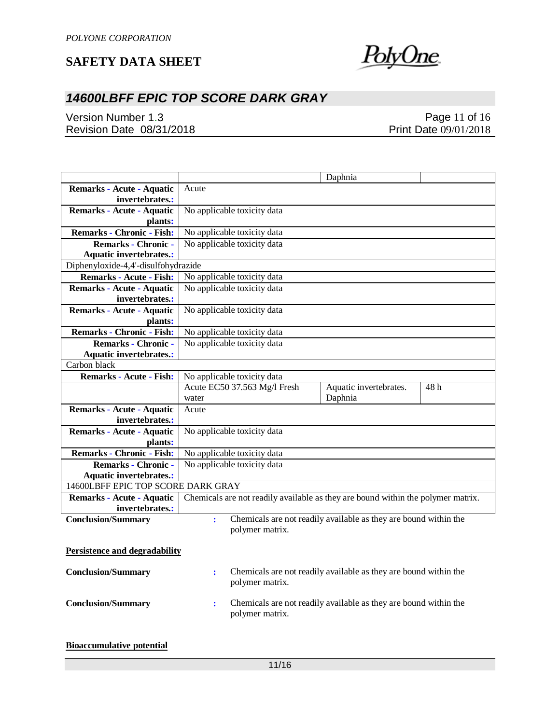

## *14600LBFF EPIC TOP SCORE DARK GRAY*

Version Number 1.3 Revision Date 08/31/2018

Page 11 of 16 Print Date 09/01/2018

|                                      |                |                              | Daphnia                                                                          |      |
|--------------------------------------|----------------|------------------------------|----------------------------------------------------------------------------------|------|
| Remarks - Acute - Aquatic            | Acute          |                              |                                                                                  |      |
| invertebrates.:                      |                |                              |                                                                                  |      |
| <b>Remarks - Acute - Aquatic</b>     |                | No applicable toxicity data  |                                                                                  |      |
| plants:                              |                |                              |                                                                                  |      |
| <b>Remarks - Chronic - Fish:</b>     |                | No applicable toxicity data  |                                                                                  |      |
| <b>Remarks - Chronic -</b>           |                | No applicable toxicity data  |                                                                                  |      |
| <b>Aquatic invertebrates.:</b>       |                |                              |                                                                                  |      |
| Diphenyloxide-4,4'-disulfohydrazide  |                |                              |                                                                                  |      |
| <b>Remarks - Acute - Fish:</b>       |                | No applicable toxicity data  |                                                                                  |      |
| Remarks - Acute - Aquatic            |                | No applicable toxicity data  |                                                                                  |      |
| invertebrates.:                      |                |                              |                                                                                  |      |
| Remarks - Acute - Aquatic            |                | No applicable toxicity data  |                                                                                  |      |
| plants:                              |                |                              |                                                                                  |      |
| <b>Remarks - Chronic - Fish:</b>     |                | No applicable toxicity data  |                                                                                  |      |
| Remarks - Chronic -                  |                | No applicable toxicity data  |                                                                                  |      |
| <b>Aquatic invertebrates.:</b>       |                |                              |                                                                                  |      |
| Carbon black                         |                |                              |                                                                                  |      |
| <b>Remarks - Acute - Fish:</b>       |                | No applicable toxicity data  |                                                                                  |      |
|                                      |                | Acute EC50 37.563 Mg/l Fresh | Aquatic invertebrates.                                                           | 48 h |
|                                      | water          |                              | Daphnia                                                                          |      |
| Remarks - Acute - Aquatic            | Acute          |                              |                                                                                  |      |
| invertebrates.:                      |                |                              |                                                                                  |      |
| <b>Remarks - Acute - Aquatic</b>     |                | No applicable toxicity data  |                                                                                  |      |
| plants:                              |                |                              |                                                                                  |      |
| Remarks - Chronic - Fish:            |                | No applicable toxicity data  |                                                                                  |      |
| <b>Remarks - Chronic -</b>           |                | No applicable toxicity data  |                                                                                  |      |
| <b>Aquatic invertebrates.:</b>       |                |                              |                                                                                  |      |
| 14600LBFF EPIC TOP SCORE DARK GRAY   |                |                              |                                                                                  |      |
| Remarks - Acute - Aquatic            |                |                              | Chemicals are not readily available as they are bound within the polymer matrix. |      |
| invertebrates.:                      |                |                              |                                                                                  |      |
| <b>Conclusion/Summary</b>            | $\ddot{\cdot}$ |                              | Chemicals are not readily available as they are bound within the                 |      |
|                                      |                | polymer matrix.              |                                                                                  |      |
|                                      |                |                              |                                                                                  |      |
| <b>Persistence and degradability</b> |                |                              |                                                                                  |      |
| <b>Conclusion/Summary</b>            | $\ddot{\cdot}$ |                              | Chemicals are not readily available as they are bound within the                 |      |
|                                      |                | polymer matrix.              |                                                                                  |      |
|                                      |                |                              |                                                                                  |      |
| <b>Conclusion/Summary</b>            | ÷              |                              | Chemicals are not readily available as they are bound within the                 |      |
|                                      |                | polymer matrix.              |                                                                                  |      |
|                                      |                |                              |                                                                                  |      |
|                                      |                |                              |                                                                                  |      |
| <b>Bioaccumulative potential</b>     |                |                              |                                                                                  |      |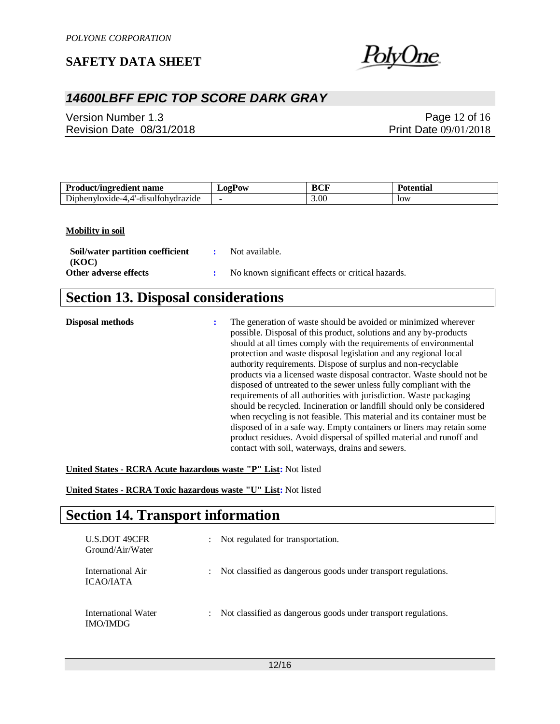

## *14600LBFF EPIC TOP SCORE DARK GRAY*

Version Number 1.3 Revision Date 08/31/2018

Page 12 of 16 Print Date 09/01/2018

| <b>Product/ingredient name</b>                                    | <b>LogPow</b> | <b>BCF</b> | Potential |
|-------------------------------------------------------------------|---------------|------------|-----------|
| $\mathbf{r}$<br>$\sim$<br>drazide<br>Dinhenvloxide-4<br>dieultohw |               | 3.00       | low       |

#### **Mobility in soil**

| Soil/water partition coefficient | : Not available.                                  |
|----------------------------------|---------------------------------------------------|
| (KOC)                            |                                                   |
| Other adverse effects            | No known significant effects or critical hazards. |

## **Section 13. Disposal considerations**

| Disposal methods | The generation of waste should be avoided or minimized wherever<br>possible. Disposal of this product, solutions and any by-products<br>should at all times comply with the requirements of environmental<br>protection and waste disposal legislation and any regional local<br>authority requirements. Dispose of surplus and non-recyclable<br>products via a licensed waste disposal contractor. Waste should not be<br>disposed of untreated to the sewer unless fully compliant with the<br>requirements of all authorities with jurisdiction. Waste packaging<br>should be recycled. Incineration or landfill should only be considered<br>when recycling is not feasible. This material and its container must be<br>disposed of in a safe way. Empty containers or liners may retain some<br>product residues. Avoid dispersal of spilled material and runoff and |
|------------------|----------------------------------------------------------------------------------------------------------------------------------------------------------------------------------------------------------------------------------------------------------------------------------------------------------------------------------------------------------------------------------------------------------------------------------------------------------------------------------------------------------------------------------------------------------------------------------------------------------------------------------------------------------------------------------------------------------------------------------------------------------------------------------------------------------------------------------------------------------------------------|
|                  | contact with soil, waterways, drains and sewers.                                                                                                                                                                                                                                                                                                                                                                                                                                                                                                                                                                                                                                                                                                                                                                                                                           |

**United States - RCRA Acute hazardous waste "P" List:** Not listed

**United States - RCRA Toxic hazardous waste "U" List:** Not listed

## **Section 14. Transport information**

| <b>U.S.DOT 49CFR</b><br>Ground/Air/Water | $\ddot{\phantom{0}}$ | Not regulated for transportation.                                |
|------------------------------------------|----------------------|------------------------------------------------------------------|
| International Air<br>ICAO/IATA           | $\ddot{\phantom{0}}$ | Not classified as dangerous goods under transport regulations.   |
| International Water<br><b>IMO/IMDG</b>   |                      | : Not classified as dangerous goods under transport regulations. |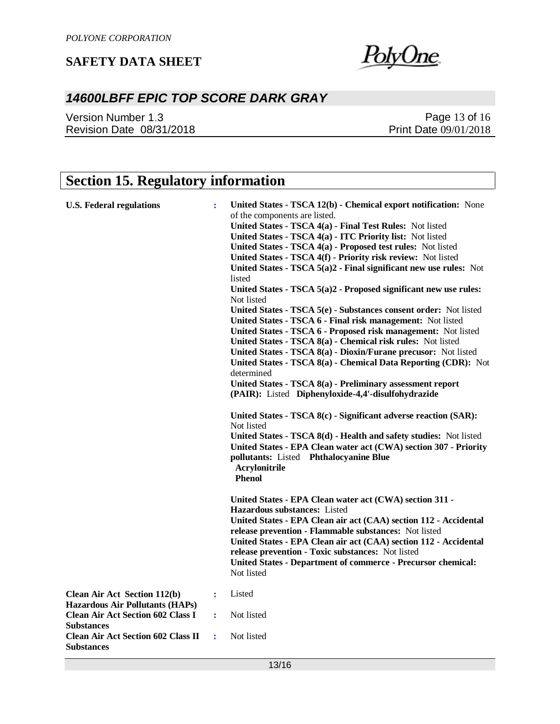

## *14600LBFF EPIC TOP SCORE DARK GRAY*

Version Number 1.3 Revision Date 08/31/2018

Page 13 of 16 Print Date 09/01/2018

## **Section 15. Regulatory information**

| <b>U.S. Federal regulations</b>                                                                                                                | ÷              | United States - TSCA 12(b) - Chemical export notification: None<br>of the components are listed.<br>United States - TSCA 4(a) - Final Test Rules: Not listed<br>United States - TSCA 4(a) - ITC Priority list: Not listed<br>United States - TSCA 4(a) - Proposed test rules: Not listed<br>United States - TSCA 4(f) - Priority risk review: Not listed<br>United States - TSCA 5(a)2 - Final significant new use rules: Not<br>listed<br>United States - TSCA 5(a)2 - Proposed significant new use rules:<br>Not listed<br>United States - TSCA 5(e) - Substances consent order: Not listed<br>United States - TSCA 6 - Final risk management: Not listed<br>United States - TSCA 6 - Proposed risk management: Not listed<br>United States - TSCA 8(a) - Chemical risk rules: Not listed<br>United States - TSCA 8(a) - Dioxin/Furane precusor: Not listed<br>United States - TSCA 8(a) - Chemical Data Reporting (CDR): Not<br>determined<br>United States - TSCA 8(a) - Preliminary assessment report<br>(PAIR): Listed Diphenyloxide-4,4'-disulfohydrazide<br>United States - TSCA 8(c) - Significant adverse reaction (SAR):<br>Not listed<br>United States - TSCA 8(d) - Health and safety studies: Not listed<br>United States - EPA Clean water act (CWA) section 307 - Priority<br>pollutants: Listed Phthalocyanine Blue<br>Acrylonitrile<br><b>Phenol</b><br>United States - EPA Clean water act (CWA) section 311 -<br><b>Hazardous substances:</b> Listed<br>United States - EPA Clean air act (CAA) section 112 - Accidental<br>release prevention - Flammable substances: Not listed<br>United States - EPA Clean air act (CAA) section 112 - Accidental<br>release prevention - Toxic substances: Not listed<br><b>United States - Department of commerce - Precursor chemical:</b><br>Not listed |
|------------------------------------------------------------------------------------------------------------------------------------------------|----------------|---------------------------------------------------------------------------------------------------------------------------------------------------------------------------------------------------------------------------------------------------------------------------------------------------------------------------------------------------------------------------------------------------------------------------------------------------------------------------------------------------------------------------------------------------------------------------------------------------------------------------------------------------------------------------------------------------------------------------------------------------------------------------------------------------------------------------------------------------------------------------------------------------------------------------------------------------------------------------------------------------------------------------------------------------------------------------------------------------------------------------------------------------------------------------------------------------------------------------------------------------------------------------------------------------------------------------------------------------------------------------------------------------------------------------------------------------------------------------------------------------------------------------------------------------------------------------------------------------------------------------------------------------------------------------------------------------------------------------------------------------------------------------------------------------------------------|
| <b>Clean Air Act Section 112(b)</b><br><b>Hazardous Air Pollutants (HAPs)</b><br><b>Clean Air Act Section 602 Class I</b><br><b>Substances</b> | $\ddot{\cdot}$ | Listed                                                                                                                                                                                                                                                                                                                                                                                                                                                                                                                                                                                                                                                                                                                                                                                                                                                                                                                                                                                                                                                                                                                                                                                                                                                                                                                                                                                                                                                                                                                                                                                                                                                                                                                                                                                                              |
|                                                                                                                                                | $\ddot{\cdot}$ | Not listed                                                                                                                                                                                                                                                                                                                                                                                                                                                                                                                                                                                                                                                                                                                                                                                                                                                                                                                                                                                                                                                                                                                                                                                                                                                                                                                                                                                                                                                                                                                                                                                                                                                                                                                                                                                                          |
| <b>Clean Air Act Section 602 Class II</b><br><b>Substances</b>                                                                                 | ÷              | Not listed                                                                                                                                                                                                                                                                                                                                                                                                                                                                                                                                                                                                                                                                                                                                                                                                                                                                                                                                                                                                                                                                                                                                                                                                                                                                                                                                                                                                                                                                                                                                                                                                                                                                                                                                                                                                          |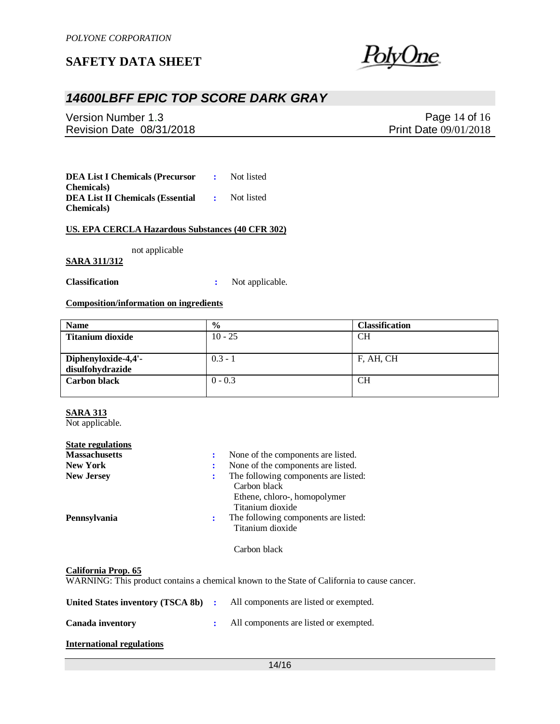

## *14600LBFF EPIC TOP SCORE DARK GRAY*

Version Number 1.3 Revision Date 08/31/2018

Page 14 of 16 Print Date 09/01/2018

**DEA List I Chemicals (Precursor Chemicals) :** Not listed **DEA List II Chemicals (Essential Chemicals) :** Not listed

#### **US. EPA CERCLA Hazardous Substances (40 CFR 302)**

not applicable

### **SARA 311/312**

**Classification :** Not applicable.

### **Composition/information on ingredients**

| <b>Name</b>         | $\frac{0}{0}$ | <b>Classification</b> |
|---------------------|---------------|-----------------------|
| Titanium dioxide    | $10 - 25$     | <b>CH</b>             |
|                     |               |                       |
| Diphenyloxide-4,4'- | $0.3 - 1$     | F, AH, CH             |
| disulfohydrazide    |               |                       |
| <b>Carbon black</b> | $0 - 0.3$     | <b>CH</b>             |
|                     |               |                       |

### **SARA 313**

Not applicable.

| <b>State regulations</b> |   |                                                          |
|--------------------------|---|----------------------------------------------------------|
| <b>Massachusetts</b>     | ÷ | None of the components are listed.                       |
| <b>New York</b>          | ፡ | None of the components are listed.                       |
| <b>New Jersey</b>        | ፡ | The following components are listed:<br>Carbon black     |
|                          |   | Ethene, chloro-, homopolymer<br>Titanium dioxide         |
| Pennsylvania             | ÷ | The following components are listed:<br>Titanium dioxide |
|                          |   | Carbon black                                             |

#### **California Prop. 65**

WARNING: This product contains a chemical known to the State of California to cause cancer.

| United States inventory (TSCA 8b) : | All components are listed or exempted. |
|-------------------------------------|----------------------------------------|
| Canada inventory                    | All components are listed or exempted. |

#### **International regulations**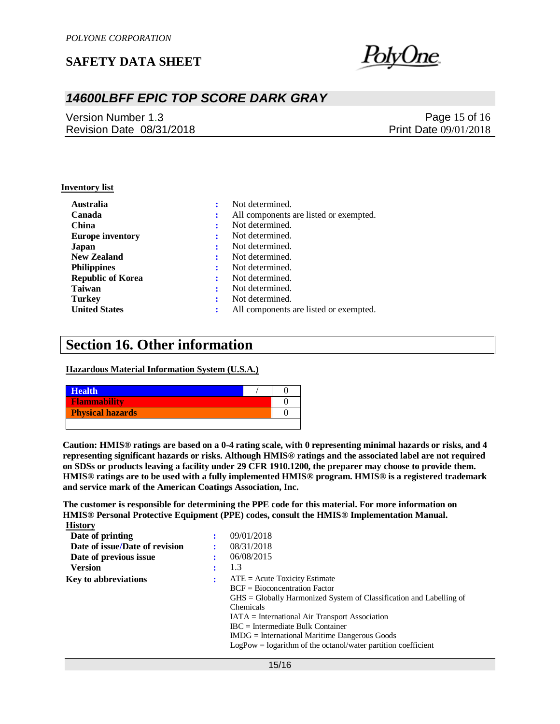

## *14600LBFF EPIC TOP SCORE DARK GRAY*

Version Number 1.3 Revision Date 08/31/2018

Page 15 of 16 Print Date 09/01/2018

#### **Inventory list**

| <b>Australia</b>         |   | Not determined.                        |
|--------------------------|---|----------------------------------------|
| Canada                   | ÷ | All components are listed or exempted. |
| <b>China</b>             | ÷ | Not determined.                        |
| <b>Europe inventory</b>  | ÷ | Not determined.                        |
| Japan                    |   | Not determined.                        |
| <b>New Zealand</b>       | ÷ | Not determined.                        |
| <b>Philippines</b>       | ÷ | Not determined.                        |
| <b>Republic of Korea</b> | ÷ | Not determined.                        |
| <b>Taiwan</b>            |   | Not determined.                        |
| <b>Turkey</b>            | ٠ | Not determined.                        |
| <b>United States</b>     |   | All components are listed or exempted. |

## **Section 16. Other information**

**Hazardous Material Information System (U.S.A.)**

| <b>Health</b>           |  |
|-------------------------|--|
| <b>Flammability</b>     |  |
| <b>Physical hazards</b> |  |
|                         |  |

**Caution: HMIS® ratings are based on a 0-4 rating scale, with 0 representing minimal hazards or risks, and 4 representing significant hazards or risks. Although HMIS® ratings and the associated label are not required on SDSs or products leaving a facility under 29 CFR 1910.1200, the preparer may choose to provide them. HMIS® ratings are to be used with a fully implemented HMIS® program. HMIS® is a registered trademark and service mark of the American Coatings Association, Inc.**

**The customer is responsible for determining the PPE code for this material. For more information on HMIS® Personal Protective Equipment (PPE) codes, consult the HMIS® Implementation Manual. History**

| Date of printing               |   | 09/01/2018                                                                          |
|--------------------------------|---|-------------------------------------------------------------------------------------|
| Date of issue/Date of revision |   | 08/31/2018                                                                          |
| Date of previous issue         |   | 06/08/2015                                                                          |
| <b>Version</b>                 |   | 1.3                                                                                 |
| <b>Key to abbreviations</b>    | ÷ | $ATE = Acute$ Toxicity Estimate                                                     |
|                                |   | $BCF = Bioconcentration Factor$                                                     |
|                                |   | $\text{GHS} = \text{Globally Harmonized System of Classification and Labelling of}$ |
|                                |   | Chemicals                                                                           |
|                                |   | $IATA = International Air Transport Association$                                    |
|                                |   | $\text{IRC}$ = Intermediate Bulk Container                                          |
|                                |   | $IMDG = International\,$ Maritime Dangerous Goods                                   |
|                                |   | $LogPow = logarithm$ of the octanol/water partition coefficient                     |
|                                |   |                                                                                     |